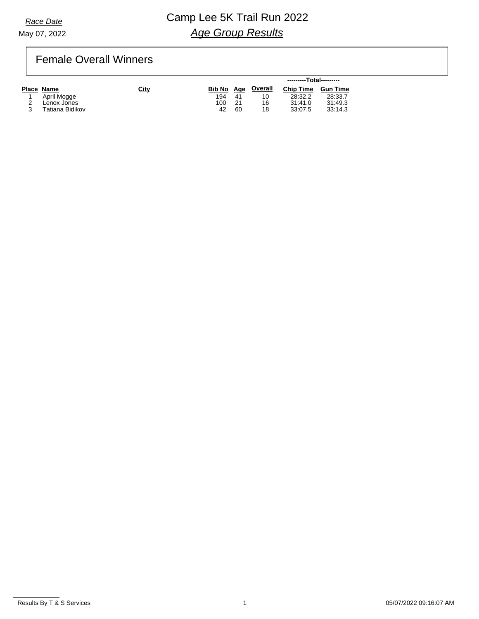# **Race Date Camp Lee 5K Trail Run 2022** *Age Group Results*

## Female Overall Winners

|                 |      |            |                |         | ---------Total--------- |                 |
|-----------------|------|------------|----------------|---------|-------------------------|-----------------|
| Place Name      | City | Bib No Age |                | Overall | <b>Chip Time</b>        | <b>Gun Time</b> |
| April Mogge     |      | 194        | 4 <sup>1</sup> | 10      | 28:32.2                 | 28:33.7         |
| Lenox Jones     |      | 100        | 21             | 16      | 31:41.0                 | 31:49.3         |
| Tatiana Bidikov |      | 42         | 60             | 18      | 33:07.5                 | 33:14.3         |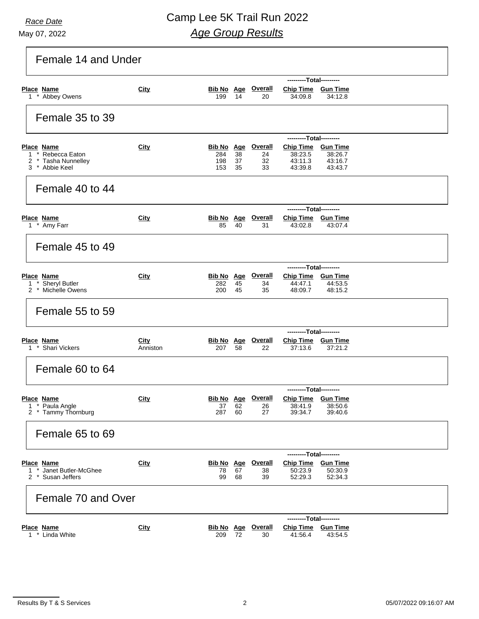# **Race Date Camp Lee 5K Trail Run 2022** *Age Group Results*

| Female 14 and Under |                   |                         |                                                                                 |                                                                                    |                                       |                                                                                                                                                                                                                                                                                                                                                   |  |  |
|---------------------|-------------------|-------------------------|---------------------------------------------------------------------------------|------------------------------------------------------------------------------------|---------------------------------------|---------------------------------------------------------------------------------------------------------------------------------------------------------------------------------------------------------------------------------------------------------------------------------------------------------------------------------------------------|--|--|
|                     |                   | ---------Total--------- |                                                                                 |                                                                                    |                                       |                                                                                                                                                                                                                                                                                                                                                   |  |  |
| City                | 199               | 14                      | 20                                                                              | 34:09.8                                                                            | 34:12.8                               |                                                                                                                                                                                                                                                                                                                                                   |  |  |
|                     |                   |                         |                                                                                 |                                                                                    |                                       |                                                                                                                                                                                                                                                                                                                                                   |  |  |
| City                | 284<br>198<br>153 | 38<br>37<br>35          | 24<br>32<br>33                                                                  | 38:23.5<br>43:11.3<br>43:39.8                                                      | 38:26.7<br>43:16.7<br>43.43.7         |                                                                                                                                                                                                                                                                                                                                                   |  |  |
|                     |                   |                         |                                                                                 |                                                                                    |                                       |                                                                                                                                                                                                                                                                                                                                                   |  |  |
|                     |                   |                         |                                                                                 |                                                                                    |                                       |                                                                                                                                                                                                                                                                                                                                                   |  |  |
| City                | 85                | 40                      | <b>Overall</b><br>31                                                            | 43:02.8                                                                            | 43:07.4                               |                                                                                                                                                                                                                                                                                                                                                   |  |  |
|                     |                   |                         |                                                                                 |                                                                                    |                                       |                                                                                                                                                                                                                                                                                                                                                   |  |  |
|                     |                   |                         |                                                                                 |                                                                                    |                                       |                                                                                                                                                                                                                                                                                                                                                   |  |  |
| <b>City</b>         | 282<br>200        | 45<br>45                | <b>Overall</b><br>34<br>35                                                      | 44:47.1<br>48:09.7                                                                 | 44.53.5<br>48:15.2                    |                                                                                                                                                                                                                                                                                                                                                   |  |  |
|                     |                   |                         |                                                                                 |                                                                                    |                                       |                                                                                                                                                                                                                                                                                                                                                   |  |  |
|                     |                   |                         |                                                                                 |                                                                                    |                                       |                                                                                                                                                                                                                                                                                                                                                   |  |  |
| City<br>Anniston    | 207               | 58                      | <b>Overall</b><br>22                                                            | 37:13.6                                                                            | 37:21.2                               |                                                                                                                                                                                                                                                                                                                                                   |  |  |
|                     |                   |                         |                                                                                 |                                                                                    |                                       |                                                                                                                                                                                                                                                                                                                                                   |  |  |
|                     |                   |                         |                                                                                 |                                                                                    |                                       |                                                                                                                                                                                                                                                                                                                                                   |  |  |
| <b>City</b>         | 37<br>287         | 62<br>60                | <b>Overall</b><br>26<br>27                                                      | 38:41.9<br>39:34.7                                                                 | <b>Gun Time</b><br>38:50.6<br>39:40.6 |                                                                                                                                                                                                                                                                                                                                                   |  |  |
|                     |                   |                         |                                                                                 |                                                                                    |                                       |                                                                                                                                                                                                                                                                                                                                                   |  |  |
|                     |                   |                         |                                                                                 |                                                                                    |                                       |                                                                                                                                                                                                                                                                                                                                                   |  |  |
| City                | 78<br>99          | 67<br>68                | <b>Overall</b><br>38<br>39                                                      | 50:23.9<br>52:29.3                                                                 | 50:30.9<br>52:34.3                    |                                                                                                                                                                                                                                                                                                                                                   |  |  |
| Female 70 and Over  |                   |                         |                                                                                 |                                                                                    |                                       |                                                                                                                                                                                                                                                                                                                                                   |  |  |
| City                | 209               |                         | <b>Overall</b><br>30                                                            | 41:56.4                                                                            | <b>Gun Time</b><br>43:54.5            |                                                                                                                                                                                                                                                                                                                                                   |  |  |
|                     |                   |                         | Bib No Age<br><b>Bib No</b> Age<br><b>Bib No Age</b><br><b>Bib No</b> Age<br>72 | <b>Bib No Age Overall</b><br><b>Bib No Age Overall</b><br>Bib No Age<br>Bib No Age | <b>Chip Time</b>                      | Chip Time Gun Time<br>---------Total---------<br>Chip Time Gun Time<br>---------Total---------<br>Chip Time Gun Time<br>---------Total---------<br>Chip Time Gun Time<br>---------Total---------<br>Chip Time Gun Time<br>---------Total---------<br>---------Total---------<br>Chip Time Gun Time<br>---------Total---------<br><b>Chip Time</b> |  |  |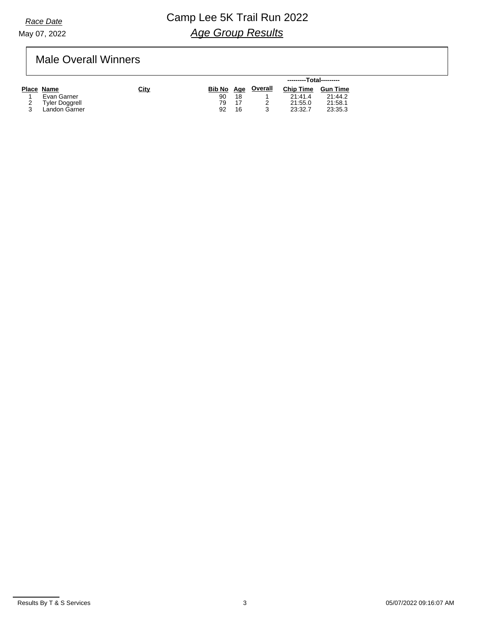# **Race Date Camp Lee 5K Trail Run 2022** *Age Group Results*

## Male Overall Winners

|                       |             |     |    |                    | ---------Total--------- |                 |
|-----------------------|-------------|-----|----|--------------------|-------------------------|-----------------|
| Place Name            | <b>City</b> |     |    | Bib No Age Overall | <b>Chip Time</b>        | <b>Gun Time</b> |
| Evan Garner           |             | 90  | 18 |                    | 21:41.4                 | 21:44.2         |
| <b>Tyler Doggrell</b> |             | 79. | 17 |                    | 21:55.0                 | 21:58.1         |
| Landon Garner         |             | 92  | 16 |                    | 23:32.7                 | 23:35.3         |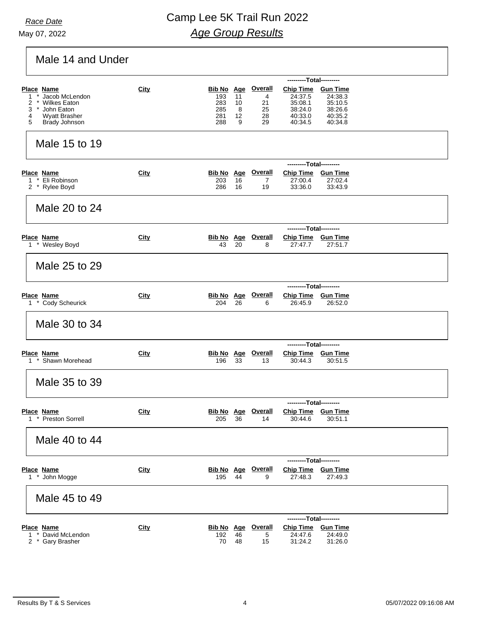May 07, 2022

# **Race Date Camp Lee 5K Trail Run 2022** *Age Group Results*

# Male 14 and Under

| ---------Total---------                                                                                                                    |             |                                                      |                          |                                             |                                                                           |                                                     |  |  |  |  |
|--------------------------------------------------------------------------------------------------------------------------------------------|-------------|------------------------------------------------------|--------------------------|---------------------------------------------|---------------------------------------------------------------------------|-----------------------------------------------------|--|--|--|--|
| <b>Place Name</b><br>Jacob McLendon<br>1<br>2<br><b>Wilkes Eaton</b><br>John Eaton<br>3<br><b>Wyatt Brasher</b><br>4<br>5<br>Brady Johnson | City        | <b>Bib No</b> Age<br>193<br>283<br>285<br>281<br>288 | 11<br>10<br>8<br>12<br>9 | <b>Overall</b><br>4<br>21<br>25<br>28<br>29 | Chip Time Gun Time<br>24:37.5<br>35:08.1<br>38:24.0<br>40:33.0<br>40:34.5 | 24:38.3<br>35:10.5<br>38.26.6<br>40:35.2<br>40:34.8 |  |  |  |  |
| Male 15 to 19                                                                                                                              |             |                                                      |                          |                                             |                                                                           |                                                     |  |  |  |  |
|                                                                                                                                            |             |                                                      |                          |                                             | ---------Total---------                                                   |                                                     |  |  |  |  |
| Place Name<br>Eli Robinson<br>1<br>2 * Rylee Boyd                                                                                          | <b>City</b> | <b>Bib No Age</b><br>203<br>286                      | 16<br>16                 | <b>Overall</b><br>7<br>19                   | Chip Time Gun Time<br>27:00.4<br>33:36.0                                  | 27:02.4<br>33:43.9                                  |  |  |  |  |
| Male 20 to 24                                                                                                                              |             |                                                      |                          |                                             |                                                                           |                                                     |  |  |  |  |
|                                                                                                                                            |             | ---------Total---------                              |                          |                                             |                                                                           |                                                     |  |  |  |  |
| Place Name<br>1 * Wesley Boyd                                                                                                              | City        | <b>Bib No Age</b><br>43                              | 20                       | <b>Overall</b><br>8                         | Chip Time Gun Time<br>27:47.7                                             | 27:51.7                                             |  |  |  |  |
| Male 25 to 29                                                                                                                              |             |                                                      |                          |                                             |                                                                           |                                                     |  |  |  |  |
|                                                                                                                                            |             |                                                      |                          |                                             | ---------Total---------                                                   |                                                     |  |  |  |  |
| <b>Place Name</b><br>1 * Cody Scheurick                                                                                                    | City        | <b>Bib No</b> Age<br>204                             | 26                       | <b>Overall</b><br>6                         | Chip Time Gun Time<br>26:45.9                                             | 26:52.0                                             |  |  |  |  |
| Male 30 to 34                                                                                                                              |             |                                                      |                          |                                             |                                                                           |                                                     |  |  |  |  |
|                                                                                                                                            |             |                                                      |                          |                                             | ---------Total---------                                                   |                                                     |  |  |  |  |
| <b>Place Name</b><br>1 * Shawn Morehead                                                                                                    | City        | 196                                                  | 33                       | <b>Bib No Age Overall</b><br>13             | Chip Time Gun Time<br>30:44.3                                             | 30:51.5                                             |  |  |  |  |
| Male 35 to 39                                                                                                                              |             |                                                      |                          |                                             |                                                                           |                                                     |  |  |  |  |
|                                                                                                                                            |             |                                                      |                          |                                             | ---------Total---------                                                   |                                                     |  |  |  |  |
| Place Name<br>1 * Preston Sorrell                                                                                                          | <b>City</b> | <b>Bib No Age</b><br>205                             | 36                       | <b>Overall</b><br>14                        | Chip Time Gun Time<br>30:44.6                                             | 30:51.1                                             |  |  |  |  |
| Male 40 to 44                                                                                                                              |             |                                                      |                          |                                             |                                                                           |                                                     |  |  |  |  |
|                                                                                                                                            |             |                                                      |                          |                                             | ---------Total---------                                                   |                                                     |  |  |  |  |
| Place Name<br>1 * John Mogge                                                                                                               | City        | <b>Bib No</b> Age<br>195                             | 44                       | <b>Overall</b><br>9                         | Chip Time Gun Time<br>27:48.3                                             | 27:49.3                                             |  |  |  |  |
| Male 45 to 49                                                                                                                              |             |                                                      |                          |                                             |                                                                           |                                                     |  |  |  |  |
|                                                                                                                                            |             | ---------Total---------                              |                          |                                             |                                                                           |                                                     |  |  |  |  |
| <b>Place Name</b><br>David McLendon<br>1<br>$\ast$<br>2 * Gary Brasher                                                                     | City        | <b>Bib No Age</b><br>192<br>70                       | 46<br>48                 | <b>Overall</b><br>5<br>15                   | <b>Chip Time</b><br>24:47.6<br>31:24.2                                    | <b>Gun Time</b><br>24:49.0<br>31:26.0               |  |  |  |  |